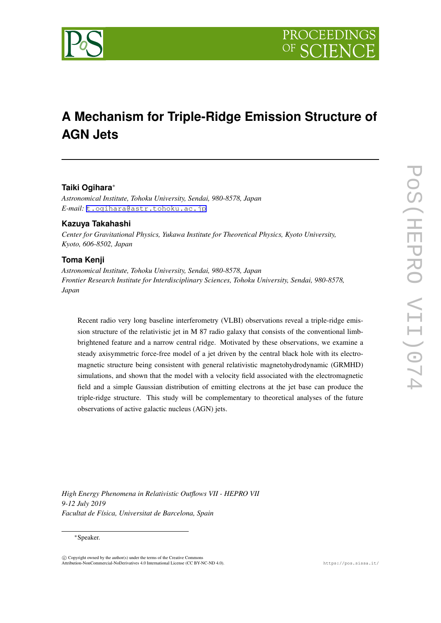

# **A Mechanism for Triple-Ridge Emission Structure of AGN Jets**

## **Taiki Ogihara***∗*

*Astronomical Institute, Tohoku University, Sendai, 980-8578, Japan E-mail:* [t.ogihara@astr.tohoku.ac.jp](mailto:t.ogihara@astr.tohoku.ac.jp)

## **Kazuya Takahashi**

*Center for Gravitational Physics, Yukawa Institute for Theoretical Physics, Kyoto University, Kyoto, 606-8502, Japan*

## **Toma Kenji**

*Astronomical Institute, Tohoku University, Sendai, 980-8578, Japan Frontier Research Institute for Interdisciplinary Sciences, Tohoku University, Sendai, 980-8578, Japan*

Recent radio very long baseline interferometry (VLBI) observations reveal a triple-ridge emission structure of the relativistic jet in M 87 radio galaxy that consists of the conventional limbbrightened feature and a narrow central ridge. Motivated by these observations, we examine a steady axisymmetric force-free model of a jet driven by the central black hole with its electromagnetic structure being consistent with general relativistic magnetohydrodynamic (GRMHD) simulations, and shown that the model with a velocity field associated with the electromagnetic field and a simple Gaussian distribution of emitting electrons at the jet base can produce the triple-ridge structure. This study will be complementary to theoretical analyses of the future observations of active galactic nucleus (AGN) jets.

*High Energy Phenomena in Relativistic Outflows VII - HEPRO VII 9-12 July 2019 Facultat de Física, Universitat de Barcelona, Spain*

#### *∗*Speaker.

 $\circled{c}$  Copyright owned by the author(s) under the terms of the Creative Common Attribution-NonCommercial-NoDerivatives 4.0 International License (CC BY-NC-ND 4.0). https://pos.sissa.it/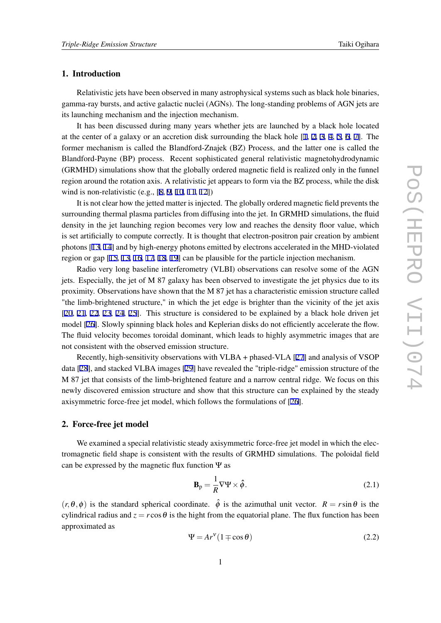## <span id="page-1-0"></span>1. Introduction

Relativistic jets have been observed in many astrophysical systems such as black hole binaries, gamma-ray bursts, and active galactic nuclei (AGNs). The long-standing problems of AGN jets are its launching mechanism and the injection mechanism.

It has been discussed during many years whether jets are launched by a black hole located at the center of a galaxy or an accretion disk surrounding the black hole [\[1,](#page-5-0) [2](#page-5-0), [3,](#page-5-0) [4](#page-5-0), [5,](#page-5-0) [6](#page-5-0), [7\]](#page-5-0). The former mechanism is called the Blandford-Znajek (BZ) Process, and the latter one is called the Blandford-Payne (BP) process. Recent sophisticated general relativistic magnetohydrodynamic (GRMHD) simulations show that the globally ordered magnetic field is realized only in the funnel region around the rotation axis. A relativistic jet appears to form via the BZ process, while the disk wind is non-relativistic (e.g., [[8](#page-5-0), [9](#page-5-0), [10,](#page-5-0) [11,](#page-5-0) [12](#page-5-0)])

It is not clear how the jetted matter is injected. The globally ordered magnetic field prevents the surrounding thermal plasma particles from diffusing into the jet. In GRMHD simulations, the fluid density in the jet launching region becomes very low and reaches the density floor value, which is set artificially to compute correctly. It is thought that electron-positron pair creation by ambient photons [[13,](#page-5-0) [14\]](#page-5-0) and by high-energy photons emitted by electrons accelerated in the MHD-violated region or gap [[15,](#page-5-0) [13,](#page-5-0) [16](#page-6-0), [17,](#page-6-0) [18](#page-6-0), [19](#page-6-0)] can be plausible for the particle injection mechanism.

Radio very long baseline interferometry (VLBI) observations can resolve some of the AGN jets. Especially, the jet of M 87 galaxy has been observed to investigate the jet physics due to its proximity. Observations have shown that the M 87 jet has a characteristic emission structure called "the limb-brightened structure," in which the jet edge is brighter than the vicinity of the jet axis [[20,](#page-6-0) [21](#page-6-0), [22,](#page-6-0) [23,](#page-6-0) [24](#page-6-0), [25\]](#page-6-0). This structure is considered to be explained by a black hole driven jet model [[26\]](#page-6-0). Slowly spinning black holes and Keplerian disks do not efficiently accelerate the flow. The fluid velocity becomes toroidal dominant, which leads to highly asymmetric images that are not consistent with the observed emission structure.

Recently, high-sensitivity observations with VLBA + phased-VLA [\[27](#page-6-0)] and analysis of VSOP data [[28\]](#page-6-0), and stacked VLBA images [[29\]](#page-6-0) have revealed the "triple-ridge" emission structure of the M 87 jet that consists of the limb-brightened feature and a narrow central ridge. We focus on this newly discovered emission structure and show that this structure can be explained by the steady axisymmetric force-free jet model, which follows the formulations of [\[26](#page-6-0)].

#### 2. Force-free jet model

We examined a special relativistic steady axisymmetric force-free jet model in which the electromagnetic field shape is consistent with the results of GRMHD simulations. The poloidal field can be expressed by the magnetic flux function  $\Psi$  as

$$
\mathbf{B}_{\mathrm{p}} = \frac{1}{R} \nabla \Psi \times \hat{\phi}.
$$
 (2.1)

 $(r, \theta, \phi)$  is the standard spherical coordinate.  $\hat{\phi}$  is the azimuthal unit vector.  $R = r \sin \theta$  is the cylindrical radius and  $z = r \cos \theta$  is the hight from the equatorial plane. The flux function has been approximated as

$$
\Psi = Ar^{\nu} (1 \mp \cos \theta) \tag{2.2}
$$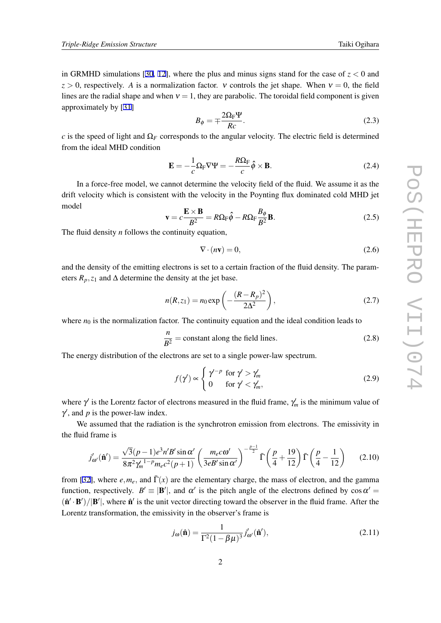in GRMHD simulations [\[30](#page-6-0), [12\]](#page-5-0), where the plus and minus signs stand for the case of  $z < 0$  and  $z > 0$ , respectively. *A* is a normalization factor. *v* controls the jet shape. When  $v = 0$ , the field lines are the radial shape and when  $v = 1$ , they are parabolic. The toroidal field component is given approximately by [\[31](#page-6-0)]

$$
B_{\phi} = \mp \frac{2\Omega_{\rm F} \Psi}{Rc}.
$$
\n(2.3)

*c* is the speed of light and  $\Omega_F$  corresponds to the angular velocity. The electric field is determined from the ideal MHD condition

$$
\mathbf{E} = -\frac{1}{c}\Omega_{\rm F}\nabla\Psi = -\frac{R\Omega_{\rm F}}{c}\hat{\phi}\times\mathbf{B}.
$$
 (2.4)

In a force-free model, we cannot determine the velocity field of the fluid. We assume it as the drift velocity which is consistent with the velocity in the Poynting flux dominated cold MHD jet model

$$
\mathbf{v} = c \frac{\mathbf{E} \times \mathbf{B}}{B^2} = R \Omega_{\rm F} \hat{\phi} - R \Omega_{\rm F} \frac{B_{\phi}}{B^2} \mathbf{B}.
$$
 (2.5)

The fluid density *n* follows the continuity equation,

$$
\nabla \cdot (n\mathbf{v}) = 0,\tag{2.6}
$$

and the density of the emitting electrons is set to a certain fraction of the fluid density. The parameters  $R_p$ ,  $z_1$  and  $\Delta$  determine the density at the jet base.

$$
n(R, z_1) = n_0 \exp\left(-\frac{(R - R_p)^2}{2\Delta^2}\right),
$$
\n(2.7)

where  $n_0$  is the normalization factor. The continuity equation and the ideal condition leads to

$$
\frac{n}{B^2} = \text{constant along the field lines.} \tag{2.8}
$$

The energy distribution of the electrons are set to a single power-law spectrum.

$$
f(\gamma') \propto \begin{cases} \gamma'^{-p} & \text{for } \gamma' > \gamma'_m \\ 0 & \text{for } \gamma' < \gamma'_m, \end{cases}
$$
 (2.9)

where γ *′* is the Lorentz factor of electrons measured in the fluid frame, γ *′ <sup>m</sup>* is the minimum value of  $\gamma'$ , and *p* is the power-law index.

We assumed that the radiation is the synchrotron emission from electrons. The emissivity in the fluid frame is

$$
j'_{\omega'}(\hat{\mathbf{n}}') = \frac{\sqrt{3}(p-1)e^{3}n'B'\sin\alpha'}{8\pi^{2}\gamma_{m}^{1-p}m_{e}c^{2}(p+1)} \left(\frac{m_{e}c\omega'}{3eB'\sin\alpha'}\right)^{-\frac{p-1}{2}}\bar{\Gamma}\left(\frac{p}{4}+\frac{19}{12}\right)\bar{\Gamma}\left(\frac{p}{4}-\frac{1}{12}\right)
$$
(2.10)

from [\[32](#page-6-0)], where  $e, m_e$ , and  $\bar{\Gamma}(x)$  are the elementary charge, the mass of electron, and the gamma function, respectively.  $B' \equiv |\mathbf{B}'|$ , and  $\alpha'$  is the pitch angle of the electrons defined by  $\cos \alpha' =$  $(\hat{\mathbf{n}}' \cdot \mathbf{B'})/|\mathbf{B'}|$ , where  $\hat{\mathbf{n}}'$  is the unit vector directing toward the observer in the fluid frame. After the Lorentz transformation, the emissivity in the observer's frame is

$$
j_{\omega}(\hat{\mathbf{n}}) = \frac{1}{\Gamma^2 (1 - \beta \mu)^3} j'_{\omega'}(\hat{\mathbf{n}}'),\tag{2.11}
$$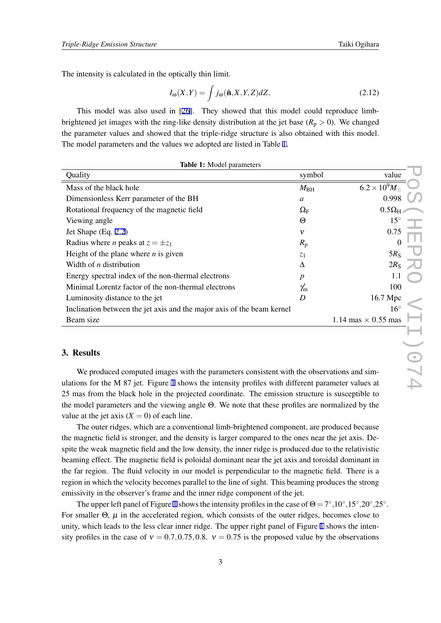<span id="page-3-0"></span>The intensity is calculated in the optically thin limit.

$$
I_{\omega}(X,Y) = \int j_{\omega}(\hat{\mathbf{n}}, X, Y, Z) dZ,
$$
\n(2.12)

This model was also used in [[26](#page-6-0)]. They showed that this model could reproduce limbbrightened jet images with the ring-like density distribution at the jet base  $(R_p > 0)$ . We changed the parameter values and showed that the triple-ridge structure is also obtained with this model. The model parameters and the values we adopted are listed in Table 1.

| symbol                                                                 | value                                                                                               |
|------------------------------------------------------------------------|-----------------------------------------------------------------------------------------------------|
| $M_{\rm BH}$                                                           | $6.2 \times 10^{9} M_{\odot}$                                                                       |
| $\mathfrak a$                                                          | 0.998                                                                                               |
| $\Omega_{\rm F}$                                                       | $0.5\Omega_H$                                                                                       |
| Θ                                                                      | $15^{\circ}$                                                                                        |
| $\mathbf v$                                                            | 0.75                                                                                                |
| $R_{\rm p}$                                                            | $\theta$                                                                                            |
| $Z_1$                                                                  | 5R <sub>S</sub>                                                                                     |
| Δ                                                                      | $2R_{\rm S}$                                                                                        |
| $\boldsymbol{p}$                                                       | 1.1                                                                                                 |
| $\gamma_{\rm m}'$                                                      | 100                                                                                                 |
| D                                                                      | 16.7 Mpc                                                                                            |
|                                                                        | $16^{\circ}$                                                                                        |
|                                                                        | 1.14 mas $\times$ 0.55 mas                                                                          |
|                                                                        |                                                                                                     |
|                                                                        |                                                                                                     |
|                                                                        |                                                                                                     |
|                                                                        | We produced computed images with the parameters consistent with the observations and sim-           |
|                                                                        | ulations for the M 87 jet. Figure 1 shows the intensity profiles with different parameter values at |
| Inclination between the jet axis and the major axis of the beam kernel |                                                                                                     |

| <b>Table 1:</b> Model parameters |  |
|----------------------------------|--|
|----------------------------------|--|

## 3. Results

We produced computed images with the parameters consistent with the observations and simulations for the M 87 jet. Figure [1](#page-4-0) shows the intensity profiles with different parameter values at 25 mas from the black hole in the projected coordinate. The emission structure is susceptible to the model parameters and the viewing angle Θ. We note that these profiles are normalized by the value at the jet axis  $(X = 0)$  of each line.

The outer ridges, which are a conventional limb-brightened component, are produced because the magnetic field is stronger, and the density is larger compared to the ones near the jet axis. Despite the weak magnetic field and the low density, the inner ridge is produced due to the relativistic beaming effect. The magnetic field is poloidal dominant near the jet axis and toroidal dominant in the far region. The fluid velocity in our model is perpendicular to the magnetic field. There is a region in which the velocity becomes parallel to the line of sight. This beaming produces the strong emissivity in the observer's frame and the inner ridge component of the jet.

The upper left panel of Figure [1](#page-4-0) shows the intensity profiles in the case of  $\Theta = 7^\circ, 10^\circ, 15^\circ, 20^\circ, 25^\circ$ . For smaller  $\Theta$ ,  $\mu$  in the accelerated region, which consists of the outer ridges, becomes close to unity, which leads to the less clear inner ridge. The upper right panel of Figure [1](#page-4-0) shows the intensity profiles in the case of  $v = 0.7, 0.75, 0.8$ .  $v = 0.75$  is the proposed value by the observations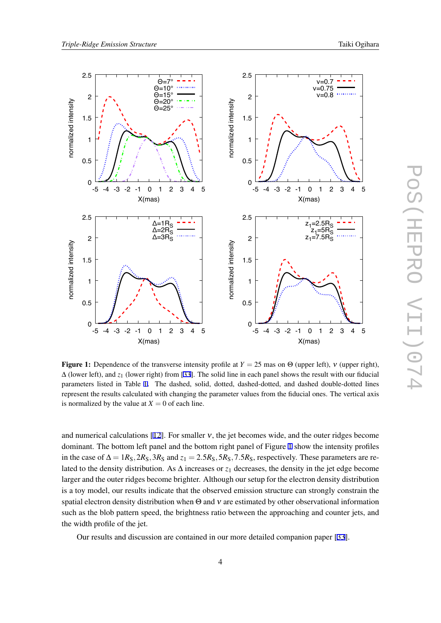

<span id="page-4-0"></span>

**Figure 1:** Dependence of the transverse intensity profile at  $Y = 25$  mas on  $\Theta$  (upper left), v (upper right), ∆ (lower left), and *z*<sup>1</sup> (lower right) from [[33\]](#page-6-0). The solid line in each panel shows the result with our fiducial parameters listed in Table [1](#page-3-0). The dashed, solid, dotted, dashed-dotted, and dashed double-dotted lines represent the results calculated with changing the parameter values from the fiducial ones. The vertical axis is normalized by the value at  $X = 0$  of each line.

and numerical calculations [[12\]](#page-5-0). For smaller  $v$ , the jet becomes wide, and the outer ridges become dominant. The bottom left panel and the bottom right panel of Figure 1 show the intensity profiles in the case of  $\Delta = 1R_S$ ,  $2R_S$ ,  $3R_S$  and  $z_1 = 2.5R_S$ ,  $5R_S$ ,  $7.5R_S$ , respectively. These parameters are related to the density distribution. As ∆ increases or *z*<sup>1</sup> decreases, the density in the jet edge become larger and the outer ridges become brighter. Although our setup for the electron density distribution is a toy model, our results indicate that the observed emission structure can strongly constrain the spatial electron density distribution when  $\Theta$  and  $v$  are estimated by other observational information such as the blob pattern speed, the brightness ratio between the approaching and counter jets, and the width profile of the jet.

Our results and discussion are contained in our more detailed companion paper [\[33](#page-6-0)].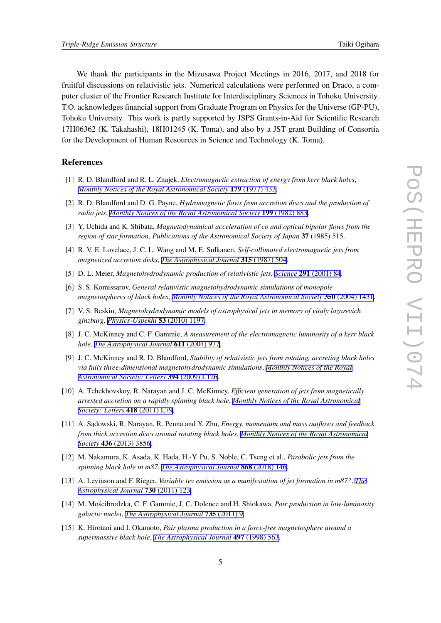<span id="page-5-0"></span>We thank the participants in the Mizusawa Project Meetings in 2016, 2017, and 2018 for fruitful discussions on relativistic jets. Numerical calculations were performed on Draco, a computer cluster of the Frontier Research Institute for Interdisciplinary Sciences in Tohoku University. T.O. acknowledges financial support from Graduate Program on Physics for the Universe (GP-PU), Tohoku University. This work is partly supported by JSPS Grants-in-Aid for Scientific Research 17H06362 (K. Takahashi), 18H01245 (K. Toma), and also by a JST grant Building of Consortia for the Development of Human Resources in Science and Technology (K. Toma).

## References

- [1] R. D. Blandford and R. L. Znajek, *Electromagnetic extraction of energy from kerr black holes*, *[Monthly Notices of the Royal Astronomical Society](https://doi.org/10.1093/mnras/179.3.433)* 179 (1977) 433.
- [2] R. D. Blandford and D. G. Payne, *Hydromagnetic flows from accretion discs and the production of radio jets*, *[Monthly Notices of the Royal Astronomical Society](https://doi.org/10.1093/mnras/199.4.883)* 199 (1982) 883.
- [3] Y. Uchida and K. Shibata, *Magnetodynamical acceleration of co and optical bipolar flows from the region of star formation*, *Publications of the Astronomical Society of Japan* 37 (1985) 515.
- [4] R. V. E. Lovelace, J. C. L. Wang and M. E. Sulkanen, *Self-collimated electromagnetic jets from magnetized accretion disks*, *[The Astrophysical Journal](https://doi.org/10.1086/165156)* 315 (1987) 504.
- [5] D. L. Meier, *Magnetohydrodynamic production of relativistic jets*, *Science* 291 [\(2001\) 84](https://doi.org/10.1126/science.291.5501.84).
- [6] S. S. Komissarov, *General relativistic magnetohydrodynamic simulations of monopole magnetospheres of black holes*, *[Monthly Notices of the Royal Astronomical Society](https://doi.org/10.1111/j.1365-2966.2004.07738.x)* 350 (2004) 1431.
- [7] V. S. Beskin, *Magnetohydrodynamic models of astrophysical jets in memory of vitaly lazarevich ginzburg*, *[Physics-Uspekhi](https://doi.org/10.3367/ufne.0180.201012a.1241)* 53 (2010) 1197.
- [8] J. C. McKinney and C. F. Gammie, *A measurement of the electromagnetic luminosity of a kerr black hole*, *[The Astrophysical Journal](https://doi.org/10.1086/422244)* 611 (2004) 977.
- [9] J. C. McKinney and R. D. Blandford, *Stability of relativistic jets from rotating, accreting black holes via fully three-dimensional magnetohydrodynamic simulations*, *[Monthly Notices of the Royal](https://doi.org/10.1111/j.1745-3933.2009.00625.x) [Astronomical Society: Letters](https://doi.org/10.1111/j.1745-3933.2009.00625.x)* 394 (2009) L126.
- [10] A. Tchekhovskoy, R. Narayan and J. C. McKinney, *Efficient generation of jets from magnetically arrested accretion on a rapidly spinning black hole*, *[Monthly Notices of the Royal Astronomical](https://doi.org/10.1111/j.1745-3933.2011.01147.x) [Society: Letters](https://doi.org/10.1111/j.1745-3933.2011.01147.x)* 418 (2011) L79.
- [11] A. S ˛adowski, R. Narayan, R. Penna and Y. Zhu, *Energy, momentum and mass outflows and feedback from thick accretion discs around rotating black holes*, *[Monthly Notices of the Royal Astronomical](https://doi.org/10.1093/mnras/stt1881) Society* 436 [\(2013\) 3856](https://doi.org/10.1093/mnras/stt1881).
- [12] M. Nakamura, K. Asada, K. Hada, H.-Y. Pu, S. Noble, C. Tseng et al., *Parabolic jets from the spinning black hole in m87*, *[The Astrophysical Journal](https://doi.org/10.3847/1538-4357/aaeb2d)* 868 (2018) 146.
- [13] A. Levinson and F. Rieger, *Variable tev emission as a manifestation of jet formation in m87?*, *[The](https://doi.org/10.1088/0004-637x/730/2/123) [Astrophysical Journal](https://doi.org/10.1088/0004-637x/730/2/123)* 730 (2011) 123.
- [14] M. Moscibrodzka, C. F. Gammie, J. C. Dolence and H. Shiokawa, ´ *Pair production in low-luminosity galactic nuclei*, *[The Astrophysical Journal](https://doi.org/10.1088/0004-637x/735/1/9)* 735 (2011) 9.
- [15] K. Hirotani and I. Okamoto, *Pair plasma production in a force-free magnetosphere around a supermassive black hole*, *[The Astrophysical Journal](https://doi.org/10.1086/305479)* 497 (1998) 563.